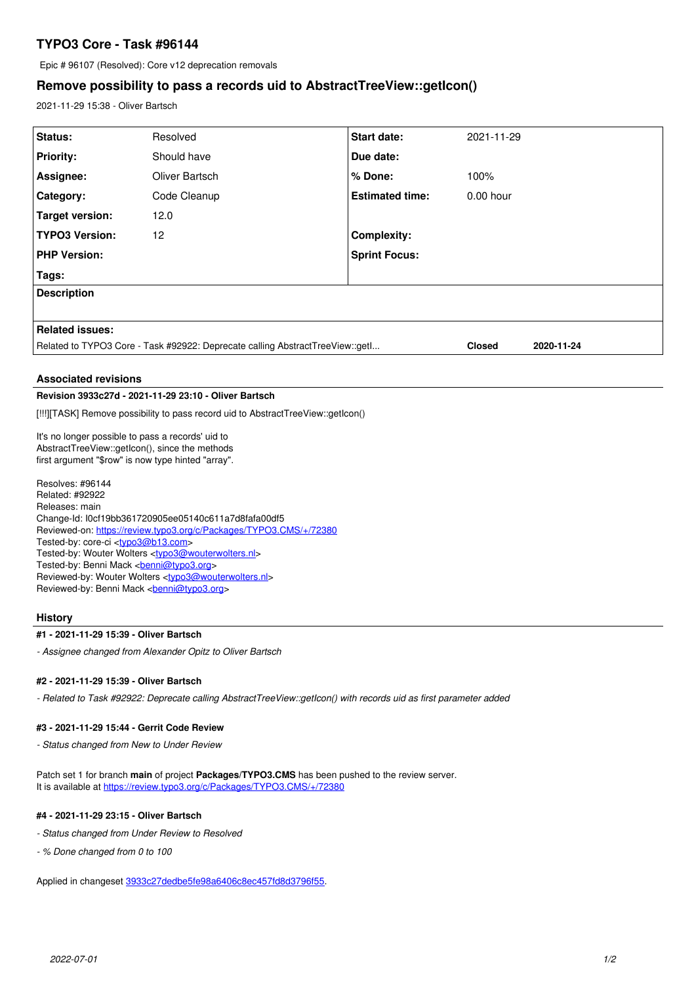# **TYPO3 Core - Task #96144**

Epic # 96107 (Resolved): Core v12 deprecation removals

## **Remove possibility to pass a records uid to AbstractTreeView::getIcon()**

2021-11-29 15:38 - Oliver Bartsch

| Status:                                                                       | Resolved       | <b>Start date:</b>     | 2021-11-29    |            |
|-------------------------------------------------------------------------------|----------------|------------------------|---------------|------------|
| <b>Priority:</b>                                                              | Should have    | Due date:              |               |            |
| Assignee:                                                                     | Oliver Bartsch | $%$ Done:              | 100%          |            |
| Category:                                                                     | Code Cleanup   | <b>Estimated time:</b> | $0.00$ hour   |            |
| Target version:                                                               | 12.0           |                        |               |            |
| <b>TYPO3 Version:</b>                                                         | 12             | <b>Complexity:</b>     |               |            |
| <b>PHP Version:</b>                                                           |                | <b>Sprint Focus:</b>   |               |            |
| Tags:                                                                         |                |                        |               |            |
| <b>Description</b>                                                            |                |                        |               |            |
|                                                                               |                |                        |               |            |
| <b>Related issues:</b>                                                        |                |                        |               |            |
| Related to TYPO3 Core - Task #92922: Deprecate calling AbstractTreeView::getl |                |                        | <b>Closed</b> | 2020-11-24 |
|                                                                               |                |                        |               |            |

### **Associated revisions**

### **Revision 3933c27d - 2021-11-29 23:10 - Oliver Bartsch**

[!!!][TASK] Remove possibility to pass record uid to AbstractTreeView::getIcon()

It's no longer possible to pass a records' uid to AbstractTreeView::getIcon(), since the methods first argument "\$row" is now type hinted "array".

Resolves: #96144 Related: #92922 Releases: main Change-Id: I0cf19bb361720905ee05140c611a7d8fafa00df5 Reviewed-on:<https://review.typo3.org/c/Packages/TYPO3.CMS/+/72380> Tested-by: core-ci [<typo3@b13.com](mailto:typo3@b13.com)> Tested-by: Wouter Wolters [<typo3@wouterwolters.nl>](mailto:typo3@wouterwolters.nl) Tested-by: Benni Mack <br />
conni@typo3.org> Reviewed-by: Wouter Wolters <[typo3@wouterwolters.nl](mailto:typo3@wouterwolters.nl)> Reviewed-by: Benni Mack <br/> <br/> <br/>Condig <br/>possion of

### **History**

#### **#1 - 2021-11-29 15:39 - Oliver Bartsch**

*- Assignee changed from Alexander Opitz to Oliver Bartsch*

### **#2 - 2021-11-29 15:39 - Oliver Bartsch**

*- Related to Task #92922: Deprecate calling AbstractTreeView::getIcon() with records uid as first parameter added*

#### **#3 - 2021-11-29 15:44 - Gerrit Code Review**

*- Status changed from New to Under Review*

Patch set 1 for branch **main** of project **Packages/TYPO3.CMS** has been pushed to the review server. It is available at <https://review.typo3.org/c/Packages/TYPO3.CMS/+/72380>

### **#4 - 2021-11-29 23:15 - Oliver Bartsch**

- *Status changed from Under Review to Resolved*
- *% Done changed from 0 to 100*

Applied in changeset [3933c27dedbe5fe98a6406c8ec457fd8d3796f55.](https://forge.typo3.org/projects/typo3cms-core/repository/1749/revisions/3933c27dedbe5fe98a6406c8ec457fd8d3796f55)